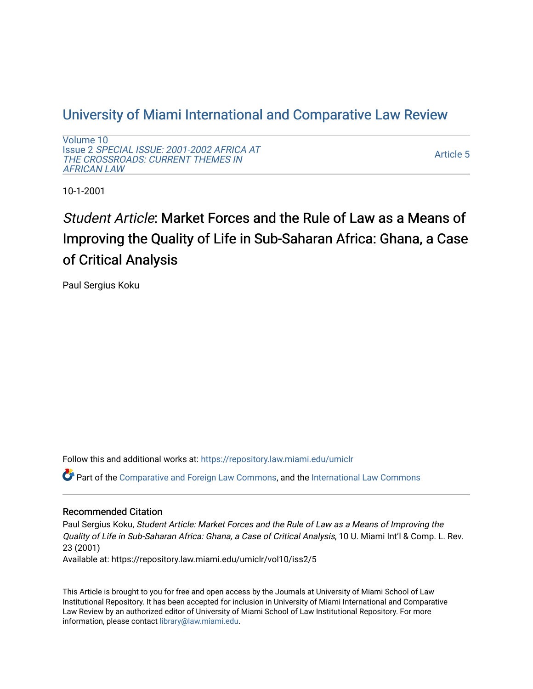# [University of Miami International and Comparative Law Review](https://repository.law.miami.edu/umiclr)

[Volume 10](https://repository.law.miami.edu/umiclr/vol10) Issue 2 [SPECIAL ISSUE: 2001-2002 AFRICA AT](https://repository.law.miami.edu/umiclr/vol10/iss2)  [THE CROSSROADS: CURRENT THEMES IN](https://repository.law.miami.edu/umiclr/vol10/iss2) [AFRICAN LAW](https://repository.law.miami.edu/umiclr/vol10/iss2) 

[Article 5](https://repository.law.miami.edu/umiclr/vol10/iss2/5) 

10-1-2001

# Student Article: Market Forces and the Rule of Law as a Means of Improving the Quality of Life in Sub-Saharan Africa: Ghana, a Case of Critical Analysis

Paul Sergius Koku

Follow this and additional works at: [https://repository.law.miami.edu/umiclr](https://repository.law.miami.edu/umiclr?utm_source=repository.law.miami.edu%2Fumiclr%2Fvol10%2Fiss2%2F5&utm_medium=PDF&utm_campaign=PDFCoverPages)

Part of the [Comparative and Foreign Law Commons,](http://network.bepress.com/hgg/discipline/836?utm_source=repository.law.miami.edu%2Fumiclr%2Fvol10%2Fiss2%2F5&utm_medium=PDF&utm_campaign=PDFCoverPages) and the [International Law Commons](http://network.bepress.com/hgg/discipline/609?utm_source=repository.law.miami.edu%2Fumiclr%2Fvol10%2Fiss2%2F5&utm_medium=PDF&utm_campaign=PDFCoverPages)

### Recommended Citation

Paul Sergius Koku, Student Article: Market Forces and the Rule of Law as a Means of Improving the Quality of Life in Sub-Saharan Africa: Ghana, a Case of Critical Analysis, 10 U. Miami Int'l & Comp. L. Rev. 23 (2001) Available at: https://repository.law.miami.edu/umiclr/vol10/iss2/5

This Article is brought to you for free and open access by the Journals at University of Miami School of Law Institutional Repository. It has been accepted for inclusion in University of Miami International and Comparative Law Review by an authorized editor of University of Miami School of Law Institutional Repository. For more information, please contact [library@law.miami.edu](mailto:library@law.miami.edu).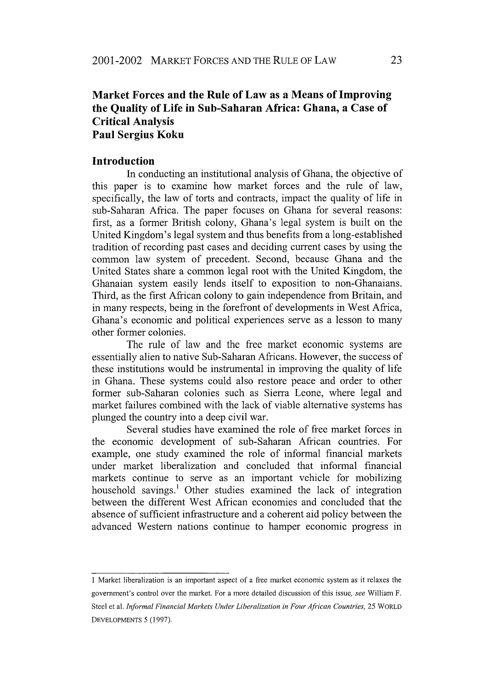# **Market Forces and the Rule of Law as a Means of Improving the Quality of Life in Sub-Saharan Africa: Ghana, a Case of Critical Analysis Paul Sergius Koku**

#### **Introduction**

In conducting an institutional analysis of Ghana, the objective of this paper is to examine how market forces and the rule of law, specifically, the law of torts and contracts, impact the quality of life in sub-Saharan Africa. The paper focuses on Ghana for several reasons: first, as a former British colony, Ghana's legal system is built on the United Kingdom's legal system and thus benefits from a long-established tradition of recording past cases and deciding current cases by using the common law system of precedent. Second, because Ghana and the United States share a common legal root with the United Kingdom, the Ghanaian system easily lends itself to exposition to non-Ghanaians. Third, as the first African colony to gain independence from Britain, and in many respects, being in the forefront of developments in West Africa, Ghana's economic and political experiences serve as a lesson to many other former colonies.

The rule of law and the free market economic systems are essentially alien to native Sub-Saharan Africans. However, the success of these institutions would be instrumental in improving the quality of life in Ghana. These systems could also restore peace and order to other former sub-Saharan colonies such as Sierra Leone, where legal and market failures combined with the lack of viable alternative systems has plunged the country into a deep civil war.

Several studies have examined the role of free market forces in the economic development of sub-Saharan African countries. For example, one study examined the role of informal financial markets under market liberalization and concluded that informal financial markets continue to serve as an important vehicle for mobilizing household savings.' Other studies examined the lack of integration between the different West African economies and concluded that the absence of sufficient infrastructure and a coherent aid policy between the advanced Western nations continue to hamper economic progress in

<sup>1</sup> Market liberalization is an important aspect of a free market economic system as it relaxes the government's control over the market. For a more detailed discussion of this issue, *see* William F. Steel et al. *Informal Financial Markets Under Liberalization in Four African Countries,* 25 WORLD DEVELOPMENTS 5 (1997).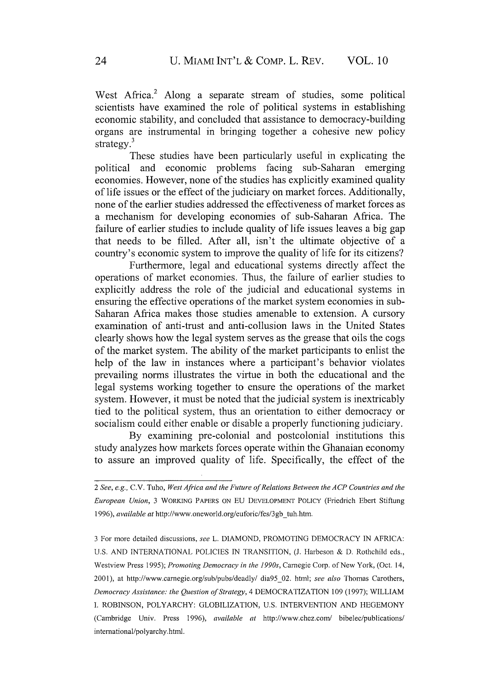West Africa.<sup>2</sup> Along a separate stream of studies, some political scientists have examined the role of political systems in establishing economic stability, and concluded that assistance to democracy-building organs are instrumental in bringing together a cohesive new policy strategy.<sup>3</sup>

These studies have been particularly useful in explicating the political and economic problems facing sub-Saharan emerging economies. However, none of the studies has explicitly examined quality of life issues or the effect of the judiciary on market forces. Additionally, none of the earlier studies addressed the effectiveness of market forces as a mechanism for developing economies of sub-Saharan Africa. The failure of earlier studies to include quality of life issues leaves a big gap that needs to be filled. After all, isn't the ultimate objective of a country's economic system to improve the quality of life for its citizens?

Furthermore, legal and educational systems directly affect the operations of market economies. Thus, the failure of earlier studies to explicitly address the role of the judicial and educational systems in ensuring the effective operations of the market system economies in sub-Saharan Africa makes those studies amenable to extension. A cursory examination of anti-trust and anti-collusion laws in the United States clearly shows how the legal system serves as the grease that oils the cogs of the market system. The ability of the market participants to enlist the help of the law in instances where a participant's behavior violates prevailing norms illustrates the virtue in both the educational and the legal systems working together to ensure the operations of the market system. However, it must be noted that the judicial system is inextricably tied to the political system, thus an orientation to either democracy or socialism could either enable or disable a properly functioning judiciary.

By examining pre-colonial and postcolonial institutions this study analyzes how markets forces operate within the Ghanaian economy to assure an improved quality of life. Specifically, the effect of the

*<sup>2</sup> See, e.g.,* C.V. Tuho, *West Africa and the Future of Relations Between the ACP Countries and the European Union,* 3 WORKING PAPERS ON EU DEVELOPMENT POLICY (Friedrich Ebert Stiftung 1996), *available at* http://www.oneworld.org/euforic/fes/3gb-tuh.htm.

<sup>3</sup> For more detailed discussions, *see* L. DIAMOND, PROMOTING DEMOCRACY IN AFRICA: U.S. AND INTERNATIONAL POLICIES IN TRANSITION, (J. Harbeson & D. Rothchild eds., Westview Press 1995); *Promoting Democracy in the 1990s,* Carnegie Corp. of New York, (Oct. 14, 2001), at http://www.carnegie.org/sub/pubs/deadly/ dia95\_02. html; *see also* Thomas Carothers, *Democracy Assistance: the Question of Strategy,* 4 DEMOCRATIZATION 109 (1997); WILLIAM I. ROBINSON, POLYARCHY: GLOBILIZATION, U.S. INTERVENTION AND HEGEMONY (Cambridge Univ. Press 1996), *available at* http://www.chez.com/ bibelec/publications/ intemational/polyarchy.html.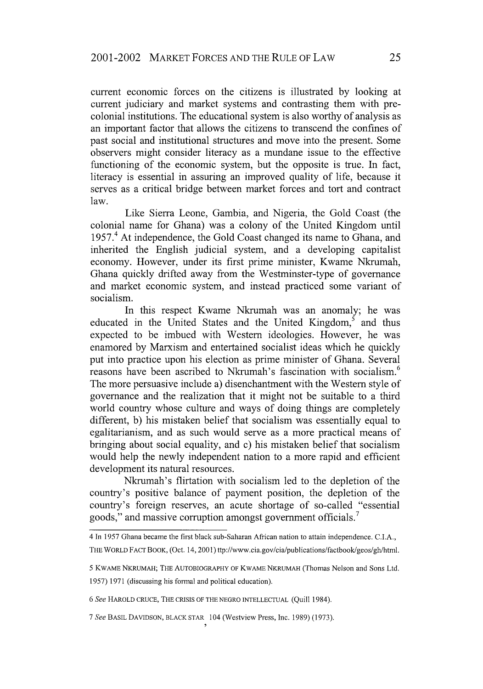current economic forces on the citizens is illustrated by looking at current judiciary and market systems and contrasting them with precolonial institutions. The educational system is also worthy of analysis as an important factor that allows the citizens to transcend the confines of past social and institutional structures and move into the present. Some observers might consider literacy as a mundane issue to the effective functioning of the economic system, but the opposite is true. In fact, literacy is essential in assuring an improved quality of life, because it serves as a critical bridge between market forces and tort and contract law.

Like Sierra Leone, Gambia, and Nigeria, the Gold Coast (the colonial name for Ghana) was a colony of the United Kingdom until 1957.<sup>4</sup> At independence, the Gold Coast changed its name to Ghana, and inherited the English judicial system, and a developing capitalist economy. However, under its first prime minister, Kwame Nkrumah, Ghana quickly drifted away from the Westminster-type of governance and market economic system, and instead practiced some variant of socialism.

In this respect Kwame Nkrumah was an anomaly; he was educated in the United States and the United Kingdom, $5$  and thus expected to be imbued with Western ideologies. However, he was enamored by Marxism and entertained socialist ideas which he quickly put into practice upon his election as prime minister of Ghana. Several reasons have been ascribed to Nkrumah's fascination with socialism.<sup>6</sup> The more persuasive include a) disenchantment with the Western style of governance and the realization that it might not be suitable to a third world country whose culture and ways of doing things are completely different, b) his mistaken belief that socialism was essentially equal to egalitarianism, and as such would serve as a more practical means of bringing about social equality, and c) his mistaken belief that socialism would help the newly independent nation to a more rapid and efficient development its natural resources.

Nkrumah's flirtation with socialism led to the depletion of the country's positive balance of payment position, the depletion of the country's foreign reserves, an acute shortage of so-called "essential goods," and massive corruption amongst government officials.

4 In 1957 Ghana became the first black sub-Saharan African nation to attain independence. C.I.A., THE WORLD FACT BOOK, (Oct. 14,2001) ttp://www.cia.gov/cia/publications/factbook/geos/gh/html.

5 KWAME NKRUMAH; THE AUTOBIOGRAPHY OF KWAME NKRUMAH (Thomas Nelson and Sons Ltd. 1957) 1971 (discussing his formal and political education).

6 See HAROLD CRUCE, THE CRISIS OF THE NEGRO INTELLECTUAL (Quill 1984).

*7 See* BASIL DAVIDSON, BLACK STAR 104 (Westview Press, Inc. 1989) (1973).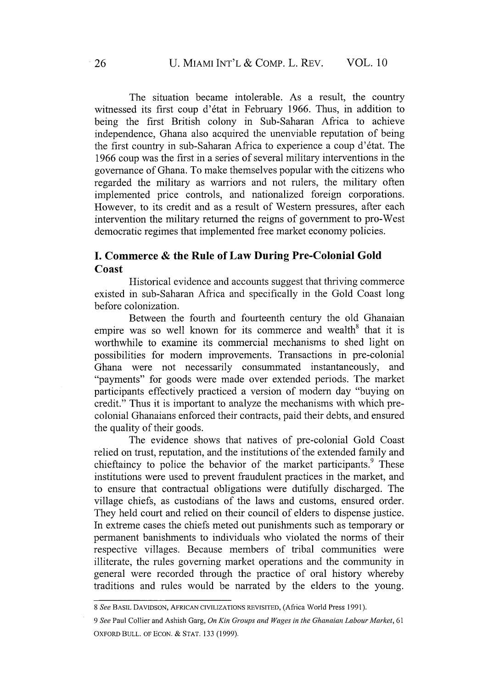The situation became intolerable. As a result, the country witnessed its first coup d'état in February 1966. Thus, in addition to being the first British colony in Sub-Saharan Africa to achieve independence, Ghana also acquired the unenviable reputation of being the first country in sub-Saharan Africa to experience a coup d'6tat. The 1966 coup was the first in a series of several military interventions in the governance of Ghana. To make themselves popular with the citizens who regarded the military as warriors and not rulers, the military often implemented price controls, and nationalized foreign corporations. However, to its credit and as a result of Western pressures, after each intervention the military returned the reigns of government to pro-West democratic regimes that implemented free market economy policies.

## **I. Commerce & the Rule of Law During Pre-Colonial Gold Coast**

Historical evidence and accounts suggest that thriving commerce existed in sub-Saharan Africa and specifically in the Gold Coast long before colonization.

Between the fourth and fourteenth century the old Ghanaian empire was so well known for its commerce and wealth<sup>8</sup> that it is worthwhile to examine its commercial mechanisms to shed light on possibilities for modem improvements. Transactions in pre-colonial Ghana were not necessarily consummated instantaneously, and "payments" for goods were made over extended periods. The market participants effectively practiced a version of modem day "buying on credit." Thus it is important to analyze the mechanisms with which precolonial Ghanaians enforced their contracts, paid their debts, and ensured the quality of their goods.

The evidence shows that natives of pre-colonial Gold Coast relied on trust, reputation, and the institutions of the extended family and chieftaincy to police the behavior of the market participants.<sup>9</sup> These institutions were used to prevent fraudulent practices in the market, and to ensure that contractual obligations were dutifully discharged. The village chiefs, as custodians of the laws and customs, ensured order. They held court and relied on their council of elders to dispense justice. In extreme cases the chiefs meted out punishments such as temporary or permanent banishments to individuals who violated the norms of their respective villages. Because members of tribal communities were illiterate, the rules governing market operations and the community in general were recorded through the practice of oral history whereby traditions and rules would be narrated by the elders to the young.

*<sup>8</sup> See* BASIL DAVIDSON, AFRICAN CIVILIZATIONS REVISITED, (Africa World Press 1991).

*<sup>9</sup> See* Paul Collier and Ashish Garg, *On Kin Groups and Wages in the Ghanaian Labour Market,* 61 OXFORD BULL. OF ECON. & STAT. 133 (1999).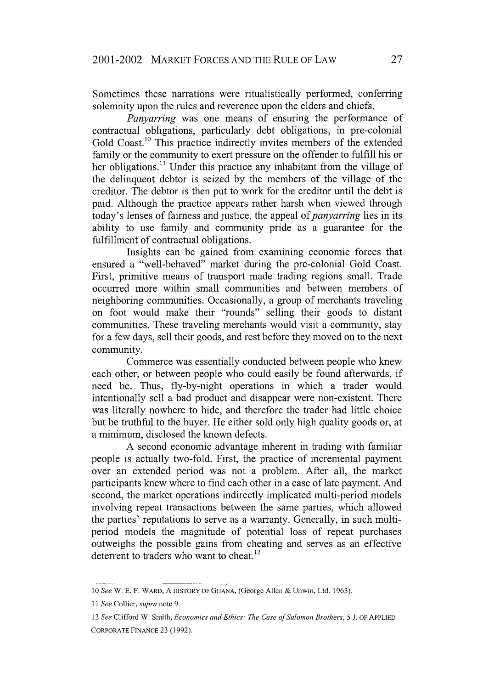Sometimes these narrations were ritualistically performed, conferring solemnity upon the rules and reverence upon the elders and chiefs.

*Panyarring* was one means of ensuring the performance of contractual obligations, particularly debt obligations, in pre-colonial Gold Coast.<sup>10</sup> This practice indirectly invites members of the extended family or the community to exert pressure on the offender to fulfill his or her obligations.<sup>11</sup> Under this practice any inhabitant from the village of the delinquent debtor is seized by the members of the village of the creditor. The debtor is then put to work for the creditor until the debt is paid. Although the practice appears rather harsh when viewed through today's lenses of fairness and justice, the appeal of *panyarring* lies in its ability to use family and community pride as a guarantee for the fulfillment of contractual obligations.

Insights can be gained from examining economic forces that ensured a "well-behaved" market during the pre-colonial Gold Coast. First, primitive means of transport made trading regions small. Trade occurred more within small communities and between members of neighboring communities. Occasionally, a group of merchants traveling on foot would make their "rounds" selling their goods to distant communities. These traveling merchants would visit a community, stay for a few days, sell their goods, and rest before they moved on to the next community.

Commerce was essentially conducted between people who knew each other, or between people who could easily be found afterwards, if need be. Thus, fly-by-night operations in which a trader would intentionally sell a bad product and disappear were non-existent. There was literally nowhere to hide, and therefore the trader had little choice but be truthful to the buyer. He either sold only high quality goods or, at a minimum, disclosed the known defects.

A second economic advantage inherent in trading with familiar people is actually two-fold. First, the practice of incremental payment over an extended period was not a problem. After all, the market participants knew where to find each other in a case of late payment. And second, the market operations indirectly implicated multi-period models involving repeat transactions between the same parties, which allowed the parties' reputations to serve as a warranty. Generally, in such multiperiod models the magnitude of potential loss of repeat purchases outweighs the possible gains from cheating and serves as an effective deterrent to traders who want to cheat.<sup>12</sup>

*<sup>10</sup> See* W. **E.** F. WARD, **A** HISTORY OF GHANA, (George Allen & Unwin, Ltd. 1963).

*<sup>11</sup> See* Collier, *supra* note 9.

*<sup>12</sup> See* Clifford W. Smith, *Economics and Ethics: The Case of Salomon Brothers, 5* J. OF APPLIED CORPORATE FINANCE 23 (1992).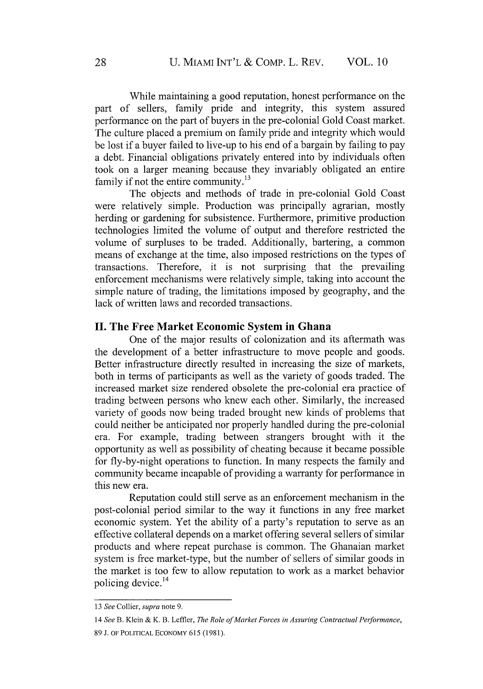While maintaining a good reputation, honest performance on the part of sellers, family pride and integrity, this system assured performance on the part of buyers in the pre-colonial Gold Coast market. The culture placed a premium on family pride and integrity which would be lost if a buyer failed to live-up to his end of a bargain by failing to pay a debt. Financial obligations privately entered into by individuals often took on a larger meaning because they invariably obligated an entire family if not the entire community.<sup>13</sup>

The objects and methods of trade in pre-colonial Gold Coast were relatively simple. Production was principally agrarian, mostly herding or gardening for subsistence. Furthermore, primitive production technologies limited the volume of output and therefore restricted the volume of surpluses to be traded. Additionally, bartering, a common means of exchange at the time, also imposed restrictions on the types of transactions. Therefore, it is not surprising that the prevailing enforcement mechanisms were relatively simple, taking into account the simple nature of trading, the limitations imposed by geography, and the lack of written laws and recorded transactions.

#### **II. The Free Market Economic System in Ghana**

One of the major results of colonization and its aftermath was the development of a better infrastructure to move people and goods. Better infrastructure directly resulted in increasing the size of markets, both in terms of participants as well as the variety of goods traded. The increased market size rendered obsolete the pre-colonial era practice of trading between persons who knew each other. Similarly, the increased variety of goods now being traded brought new kinds of problems that could neither be anticipated nor properly handled during the pre-colonial era. For example, trading between strangers brought with it the opportunity as well as possibility of cheating because it became possible for fly-by-night operations to function. In many respects the family and community became incapable of providing a warranty for performance in this new era.

Reputation could still serve as an enforcement mechanism in the post-colonial period similar to the way it functions in any free market economic system. Yet the ability of a party's reputation to serve as an effective collateral depends on a market offering several sellers of similar products and where repeat purchase is common. The Ghanaian market system is free market-type, but the number of sellers of similar goods in the market is too few to allow reputation to work as a market behavior policing device. 14

<sup>13</sup> *See* Collier, *supra* note 9.

*<sup>14</sup> See* B. Klein & K. B. Leffler, *The Role of Market Forces in Assuring Contractual Performance,* 89 J. OF POLITICAL ECONOMY 615 (1981).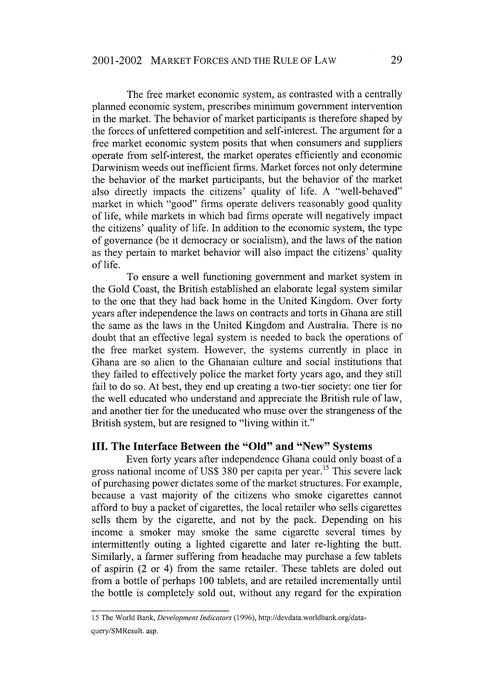The free market economic system, as contrasted with a centrally planned economic system, prescribes minimum government intervention in the market. The behavior of market participants is therefore shaped by the forces of unfettered competition and self-interest. The argument for a free market economic system posits that when consumers and suppliers operate from self-interest, the market operates efficiently and economic Darwinism weeds out inefficient firms. Market forces not only determine the behavior of the market participants, but the behavior of the market also directly impacts the citizens' quality of life. A "well-behaved" market in which "good" firms operate delivers reasonably good quality of life, while markets in which bad firms operate will negatively impact the citizens' quality of life. In addition to the economic system, the type of governance (be it democracy or socialism), and the laws of the nation as they pertain to market behavior will also impact the citizens' quality of life.

To ensure a well functioning government and market system in the Gold Coast, the British established an elaborate legal system similar to the one that they had back home in the United Kingdom. Over forty years after independence the laws on contracts and torts in Ghana are still the same as the laws in the United Kingdom and Australia. There is no doubt that an effective legal system is needed to back the operations of the free market system. However, the systems currently in place in Ghana are so alien to the Ghanaian culture and social institutions that they failed to effectively police the market forty years ago, and they still fail to do so. At best, they end up creating a two-tier society: one tier for the well educated who understand and appreciate the British rule of law, and another tier for the uneducated who muse over the strangeness of the British system, but are resigned to "living within it."

#### **III. The Interface Between the "Old" and "New" Systems**

Even forty years after independence Ghana could only boast of a gross national income of US\$ 380 per capita per year.'5 This severe lack of purchasing power dictates some of the market structures. For example, because a vast majority of the citizens who smoke cigarettes cannot afford to buy a packet of cigarettes, the local retailer who sells cigarettes sells them by the cigarette, and not by the pack. Depending on his income a smoker may smoke the same cigarette several times by intermittently outing a lighted cigarette and later re-lighting the butt. Similarly, a farmer suffering from headache may purchase a few tablets of aspirin (2 or 4) from the same retailer. These tablets are doled out from a bottle of perhaps 100 tablets, and are retailed incrementally until the bottle is completely sold out, without any regard for the expiration

<sup>15</sup> The World Bank, *Development Indicators* (1996), http://devdata.worldbank.org/dataquery/SMResult. asp.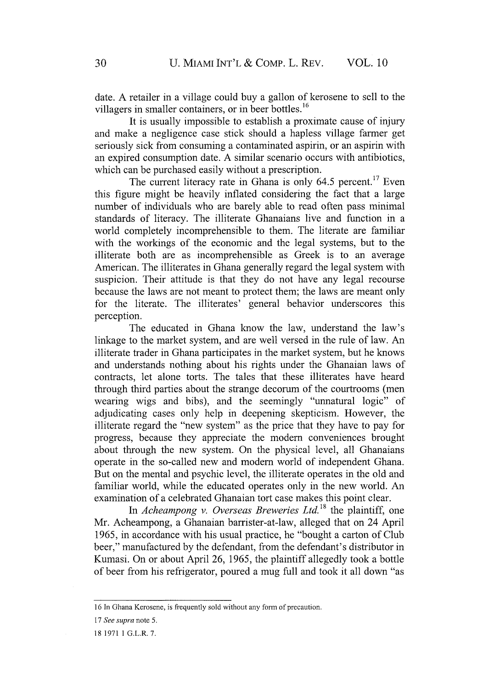date. A retailer in a village could buy a gallon of kerosene to sell to the villagers in smaller containers, or in beer bottles.<sup>16</sup>

It is usually impossible to establish a proximate cause of injury and make a negligence case stick should a hapless village farmer get seriously sick from consuming a contaminated aspirin, or an aspirin with an expired consumption date. A similar scenario occurs with antibiotics, which can be purchased easily without a prescription.

The current literacy rate in Ghana is only  $64.5$  percent.<sup>17</sup> Even this figure might be heavily inflated considering the fact that a large number of individuals who are barely able to read often pass minimal standards of literacy. The illiterate Ghanaians live and function in a world completely incomprehensible to them. The literate are familiar with the workings of the economic and the legal systems, but to the illiterate both are as incomprehensible as Greek is to an average American. The illiterates in Ghana generally regard the legal system with suspicion. Their attitude is that they do not have any legal recourse because the laws are not meant to protect them; the laws are meant only for the literate. The illiterates' general behavior underscores this perception.

The educated in Ghana know the law, understand the law's linkage to the market system, and are well versed in the rule of law. An illiterate trader in Ghana participates in the market system, but he knows and understands nothing about his rights under the Ghanaian laws of contracts, let alone torts. The tales that these illiterates have heard through third parties about the strange decorum of the courtrooms (men wearing wigs and bibs), and the seemingly "unnatural logic" of adjudicating cases only help in deepening skepticism. However, the illiterate regard the "new system" as the price that they have to pay for progress, because they appreciate the modem conveniences brought about through the new system. On the physical level, all Ghanaians operate in the so-called new and modem world of independent Ghana. But on the mental and psychic level, the illiterate operates in the old and familiar world, while the educated operates only in the new world. An examination of a celebrated Ghanaian tort case makes this point clear.

In *Acheampong v. Overseas Breweries Ltd."s* the plaintiff, one Mr. Acheampong, a Ghanaian barrister-at-law, alleged that on 24 April 1965, in accordance with his usual practice, he "bought a carton of Club beer," manufactured by the defendant, from the defendant's distributor in Kumasi. On or about April 26, 1965, the plaintiff allegedly took a bottle of beer from his refrigerator, poured a mug full and took it all down "as

<sup>16</sup> In Ghana Kerosene, is frequently sold without any form of precaution.

*I7 See supra* note 5.

<sup>18 1971 1</sup> G.L.R. 7.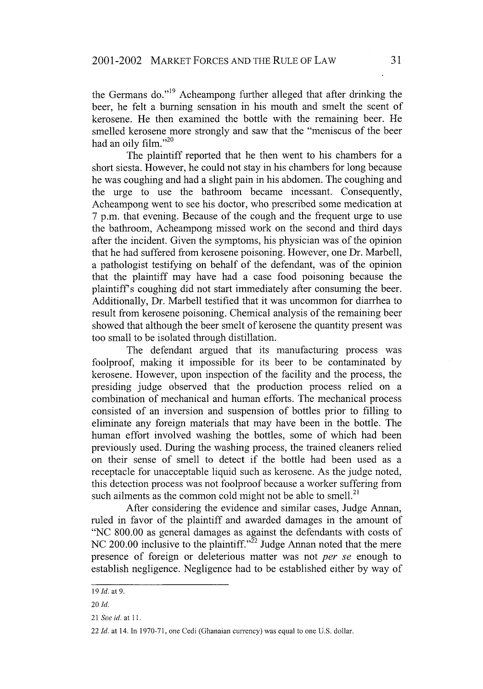the Germans do."<sup>19</sup> Acheampong further alleged that after drinking the beer, he felt a burning sensation in his mouth and smelt the scent of kerosene. He then examined the bottle with the remaining beer. He smelled kerosene more strongly and saw that the "meniscus of the beer had an oily film."20

The plaintiff reported that he then went to his chambers for a short siesta. However, he could not stay in his chambers for long because he was coughing and had a slight pain in his abdomen. The coughing and the urge to use the bathroom became incessant. Consequently, Acheampong went to see his doctor, who prescribed some medication at <sup>7</sup>p.m. that evening. Because of the cough and the frequent urge to use the bathroom, Acheampong missed work on the second and third days after the incident. Given the symptoms, his physician was of the opinion that he had suffered from kerosene poisoning. However, one Dr. Marbell, a pathologist testifying on behalf of the defendant, was of the opinion that the plaintiff may have had a case food poisoning because the plaintiffs coughing did not start immediately after consuming the beer. Additionally, Dr. Marbell testified that it was uncommon for diarrhea to result from kerosene poisoning. Chemical analysis of the remaining beer showed that although the beer smelt of kerosene the quantity present was too small to be isolated through distillation.

The defendant argued that its manufacturing process was foolproof, making it impossible for its beer to be contaminated by kerosene. However, upon inspection of the facility and the process, the presiding judge observed that the production process relied on a combination of mechanical and human efforts. The mechanical process consisted of an inversion and suspension of bottles prior to filling to eliminate any foreign materials that may have been in the bottle. The human effort involved washing the bottles, some of which had been previously used. During the washing process, the trained cleaners relied on their sense of smell to detect if the bottle had been used as a receptacle for unacceptable liquid such as kerosene. As the judge noted, this detection process was not foolproof because a worker suffering from such ailments as the common cold might not be able to smell. $^{21}$ 

After considering the evidence and similar cases, Judge Annan, ruled in favor of the plaintiff and awarded damages in the amount of "NC 800.00 as general damages as against the defendants with costs of NC 200.00 inclusive to the plaintiff. $^{22}$  Judge Annan noted that the mere presence of foreign or deleterious matter was not *per se* enough to establish negligence. Negligence had to be established either by way of

<sup>19</sup> *Id.* at 9.

<sup>20</sup> *Id.*

<sup>21</sup> *See id.* at 11.

<sup>22</sup> *Id.* at 14. In 1970-71, one Cedi (Ghanaian currency) was equal to one U.S. dollar.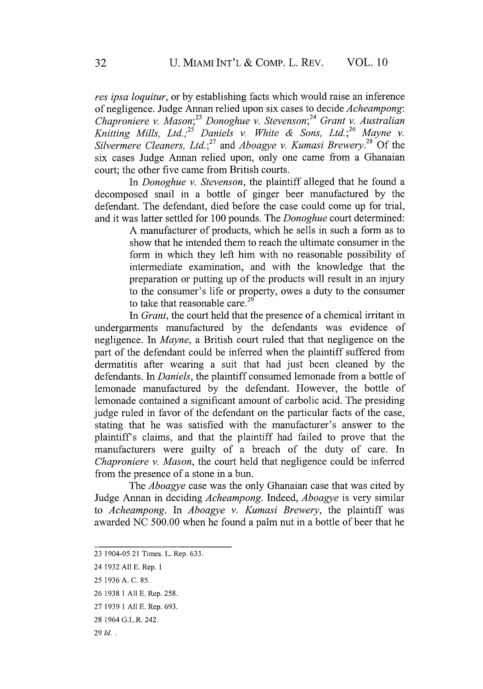*res ipsa loquitur,* or by establishing facts which would raise an inference of negligence. Judge Annan relied upon six cases to decide *Acheampong: Chaproniere v. Mason;23 Donoghue v. Stevenson;2* 4 *Grant v. Australian Knitting Mills, Ltd. , <sup>2</sup>Daniels v. White & Sons, Ltd.* ;26 *Mayne v. Silvermere Cleaners, Ltd.* 27 and *Aboagye v. Kumasi Brewery.28* Of the six cases Judge Annan relied upon, only one came from a Ghanaian court; the other five came from British courts.

In *Donoghue v. Stevenson,* the plaintiff alleged that he found a decomposed snail in a bottle of ginger beer manufactured by the defendant. The defendant, died before the case could come up for trial, and it was latter settled for 100 pounds. The *Donoghue* court determined:

> A manufacturer of products, which he sells in such a form as to show that he intended them to reach the ultimate consumer in the form in which they left him with no reasonable possibility of intermediate examination, and with the knowledge that the preparation or putting up of the products will result in an injury to the consumer's life or property, owes a duty to the consumer to take that reasonable care. $^{2}$

In *Grant,* the court held that the presence of a chemical irritant in undergarments manufactured by the defendants was evidence of negligence. In *Mayne,* a British court ruled that that negligence on the part of the defendant could be inferred when the plaintiff suffered from dermatitis after wearing a suit that had just been cleaned by the defendants. In *Daniels,* the plaintiff consumed lemonade from a bottle of lemonade manufactured by the defendant. However, the bottle of lemonade contained a significant amount of carbolic acid. The presiding judge ruled in favor of the defendant on the particular facts of the case, stating that he was satisfied with the manufacturer's answer to the plaintiffs claims, and that the plaintiff had failed to prove that the manufacturers were guilty of a breach of the duty of care. In *Chaproniere v. Mason,* the court held that negligence could be inferred from the presence of a stone in a bun.

The *Aboagye* case was the only Ghanaian case that was cited by Judge Annan in deciding *Acheampong.* Indeed, *Aboagye* is very similar to *Acheampong.* In *Aboagye v. Kumasi Brewery,* the plaintiff was awarded NC 500.00 when he found a palm nut in a bottle of beer that he

<sup>23 1904-05 21</sup> Times. L. Rep. 633.

<sup>24 1932</sup> All **E.** Rep. 1

<sup>25 1936</sup> A. C. 85.

<sup>26 1938</sup> **1** All **E.** Rep. 258.

<sup>27 1939 1</sup> All E. Rep. 693.

<sup>28 1964</sup> G.L.R. 242.

<sup>29</sup> *Id..*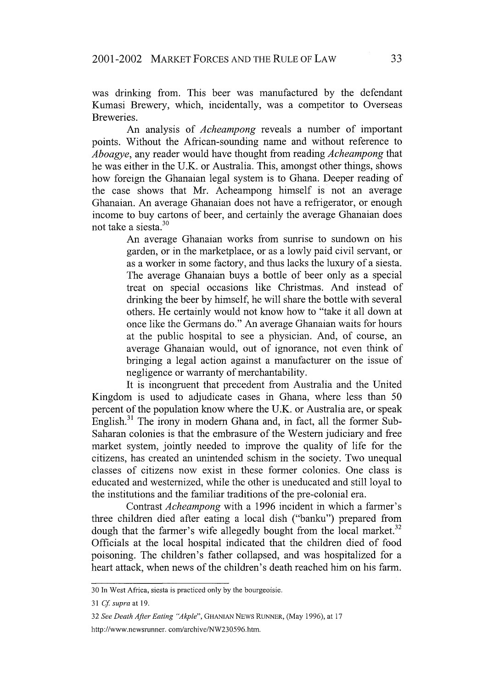was drinking from. This beer was manufactured by the defendant Kumasi Brewery, which, incidentally, was a competitor to Overseas Breweries.

An analysis of *Acheampong* reveals a number of important points. Without the African-sounding name and without reference to *Aboagye,* any reader would have thought from reading *Acheampong* that he was either in the U.K. or Australia. This, amongst other things, shows how foreign the Ghanaian legal system is to Ghana. Deeper reading of the case shows that Mr. Acheampong himself is not an average Ghanaian. An average Ghanaian does not have a refrigerator, or enough income to buy cartons of beer, and certainly the average Ghanaian does not take a siesta.

> An average Ghanaian works from sunrise to sundown on his garden, or in the marketplace, or as a lowly paid civil servant, or as a worker in some factory, and thus lacks the luxury of a siesta. The average Ghanaian buys a bottle of beer only as a special treat on special occasions like Christmas. And instead of drinking the beer by himself, he will share the bottle with several others. He certainly would not know how to "take it all down at once like the Germans do." An average Ghanaian waits for hours at the public hospital to see a physician. And, of course, an average Ghanaian would, out of ignorance, not even think of bringing a legal action against a manufacturer on the issue of negligence or warranty of merchantability.

It is incongruent that precedent from Australia and the United Kingdom is used to adjudicate cases in Ghana, where less than 50 percent of the population know where the U.K. or Australia are, or speak English.<sup>31</sup> The irony in modern Ghana and, in fact, all the former Sub-Saharan colonies is that the embrasure of the Western judiciary and free market system, jointly needed to improve the quality of life for the citizens, has created an unintended schism in the society. Two unequal classes of citizens now exist in these former colonies. One class is educated and westernized, while the other is uneducated and still loyal to the institutions and the familiar traditions of the pre-colonial era.

Contrast *Acheampong* with a 1996 incident in which a farmer's three children died after eating a local dish ("banku") prepared from dough that the farmer's wife allegedly bought from the local market.<sup>32</sup> Officials at the local hospital indicated that the children died of food poisoning. The children's father collapsed, and was hospitalized for a heart attack, when news of the children's death reached him on his farm.

**<sup>30</sup>** In West Africa, siesta is practiced only by the bourgeoisie.

*<sup>31</sup> Cf supra* at **19.**

<sup>32</sup> *See Death After Eating "Akple",* GHANIAN NEWS **RUNNER,** (May 1996), at 17 http://www.newsrunner. com/archive/NW230596.htm.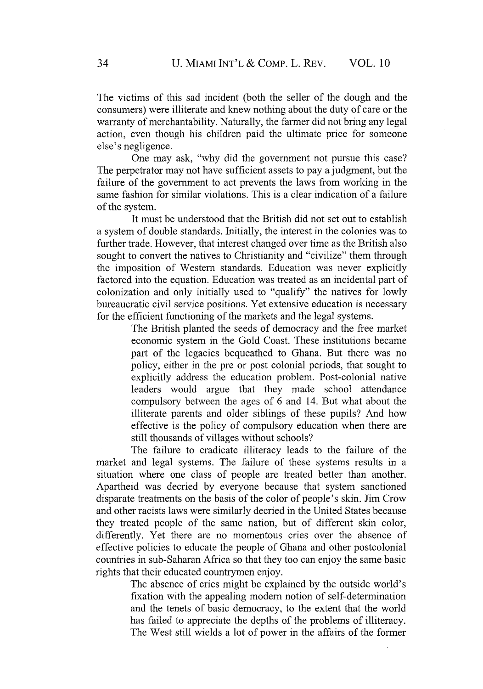The victims of this sad incident (both the seller of the dough and the consumers) were illiterate and knew nothing about the duty of care or the warranty of merchantability. Naturally, the farmer did not bring any legal action, even though his children paid the ultimate price for someone else's negligence.

One may ask, "why did the government not pursue this case? The perpetrator may not have sufficient assets to pay a judgment, but the failure of the government to act prevents the laws from working in the same fashion for similar violations. This is a clear indication of a failure of the system.

It must be understood that the British did not set out to establish a system of double standards. Initially, the interest in the colonies was to further trade. However, that interest changed over time as the British also sought to convert the natives to Christianity and "civilize" them through the imposition of Western standards. Education was never explicitly factored into the equation. Education was treated as an incidental part of colonization and only initially used to "qualify" the natives for lowly bureaucratic civil service positions. Yet extensive education is necessary for the efficient functioning of the markets and the legal systems.

> The British planted the seeds of democracy and the free market economic system in the Gold Coast. These institutions became part of the legacies bequeathed to Ghana. But there was no policy, either in the pre or post colonial periods, that sought to explicitly address the education problem. Post-colonial native leaders would argue that they made school attendance compulsory between the ages of 6 and 14. But what about the illiterate parents and older siblings of these pupils? And how effective is the policy of compulsory education when there are still thousands of villages without schools?

The failure to eradicate illiteracy leads to the failure of the market and legal systems. The failure of these systems results in a situation where one class of people are treated better than another. Apartheid was decried by everyone because that system sanctioned disparate treatments on the basis of the color of people's skin. Jim Crow and other racists laws were similarly decried in the United States because they treated people of the same nation, but of different skin color, differently. Yet there are no momentous cries over the absence of effective policies to educate the people of Ghana and other postcolonial countries in sub-Saharan Africa so that they too can enjoy the same basic rights that their educated countrymen enjoy.

> The absence of cries might be explained by the outside world's fixation with the appealing modem notion of self-determination and the tenets of basic democracy, to the extent that the world has failed to appreciate the depths of the problems of illiteracy. The West still wields a lot of power in the affairs of the former